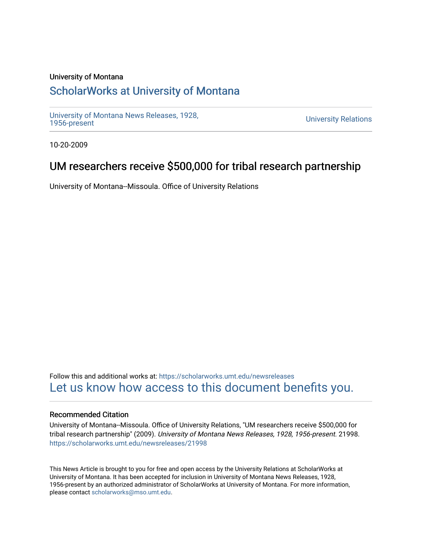### University of Montana

# [ScholarWorks at University of Montana](https://scholarworks.umt.edu/)

[University of Montana News Releases, 1928,](https://scholarworks.umt.edu/newsreleases) 

**University Relations** 

10-20-2009

## UM researchers receive \$500,000 for tribal research partnership

University of Montana--Missoula. Office of University Relations

Follow this and additional works at: [https://scholarworks.umt.edu/newsreleases](https://scholarworks.umt.edu/newsreleases?utm_source=scholarworks.umt.edu%2Fnewsreleases%2F21998&utm_medium=PDF&utm_campaign=PDFCoverPages) [Let us know how access to this document benefits you.](https://goo.gl/forms/s2rGfXOLzz71qgsB2) 

### Recommended Citation

University of Montana--Missoula. Office of University Relations, "UM researchers receive \$500,000 for tribal research partnership" (2009). University of Montana News Releases, 1928, 1956-present. 21998. [https://scholarworks.umt.edu/newsreleases/21998](https://scholarworks.umt.edu/newsreleases/21998?utm_source=scholarworks.umt.edu%2Fnewsreleases%2F21998&utm_medium=PDF&utm_campaign=PDFCoverPages) 

This News Article is brought to you for free and open access by the University Relations at ScholarWorks at University of Montana. It has been accepted for inclusion in University of Montana News Releases, 1928, 1956-present by an authorized administrator of ScholarWorks at University of Montana. For more information, please contact [scholarworks@mso.umt.edu.](mailto:scholarworks@mso.umt.edu)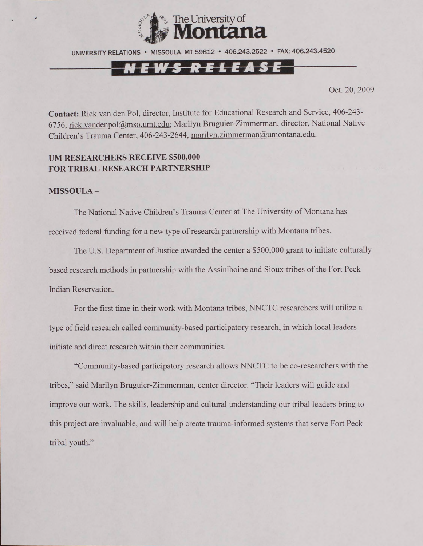

UNIVERSITY RELATIONS • MISSOULA. MT 59812 • 406.243.2522 • FAX: 406.243.4520

## <u>-NEWS RELEASE</u>

Oct. 20, 2009

**Contact:** Rick van den Pol, director, Institute for Educational Research and Service, 406-243- 6756, [rick.vandenpol@mso.umt.edu:](mailto:rick.vandenpol@mso.umt.edu) Marilyn Bruguier-Zimmerman. director, National Native Children's Trauma Center, 406-243-2644, [marilvn.zimmerman@umontana.edu.](mailto:marilvn.zimmerman@umontana.edu)

#### **UM RESEARCHERS RECEIVE S500,000 FOR TRIBAL RESEARCH PARTNERSHIP**

#### **MISSOULA -**

The National Native Children's Trauma Center at The University of Montana has received federal funding for a new type of research partnership with Montana tribes.

The U.S. Department of Justice awarded the center a \$500,000 grant to initiate culturally based research methods in partnership with the Assiniboine and Sioux tribes of the Fort Peck Indian Reservation.

For the first time in their work with Montana tribes, NNCTC researchers will utilize a type of field research called community-based participatory research, in which local leaders initiate and direct research within their communities.

"Community-based participatory research allows NNCTC to be co-researchers with the tribes," said Marilyn Bruguier-Zimmerman, center director. "Their leaders will guide and improve our work. The skills, leadership and cultural understanding our tribal leaders bring to this project are invaluable, and will help create trauma-informed systems that serve Fort Peck tribal youth.'